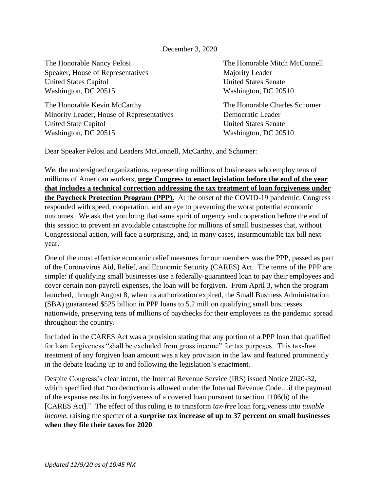## December 3, 2020

The Honorable Nancy Pelosi The Honorable Mitch McConnell Speaker, House of Representatives Majority Leader United States Capitol United States Senate Washington, DC 20515 Washington, DC 20510

The Honorable Kevin McCarthy The Honorable Charles Schumer Minority Leader, House of Representatives Democratic Leader United State Capitol United States Senate Washington, DC 20515 Washington, DC 20510

Dear Speaker Pelosi and Leaders McConnell, McCarthy, and Schumer:

We, the undersigned organizations, representing millions of businesses who employ tens of millions of American workers, **urge Congress to enact legislation before the end of the year that includes a technical correction addressing the tax treatment of loan forgiveness under the Paycheck Protection Program (PPP).** At the onset of the COVID-19 pandemic, Congress responded with speed, cooperation, and an eye to preventing the worst potential economic outcomes. We ask that you bring that same spirit of urgency and cooperation before the end of this session to prevent an avoidable catastrophe for millions of small businesses that, without Congressional action, will face a surprising, and, in many cases, insurmountable tax bill next year.

One of the most effective economic relief measures for our members was the PPP, passed as part of the Coronavirus Aid, Relief, and Economic Security (CARES) Act. The terms of the PPP are simple: if qualifying small businesses use a federally-guaranteed loan to pay their employees and cover certain non-payroll expenses, the loan will be forgiven. From April 3, when the program launched, through August 8, when its authorization expired, the Small Business Administration (SBA) guaranteed \$525 billion in PPP loans to 5.2 million qualifying small businesses nationwide, preserving tens of millions of paychecks for their employees as the pandemic spread throughout the country.

Included in the CARES Act was a provision stating that any portion of a PPP loan that qualified for loan forgiveness "shall be excluded from gross income" for tax purposes. This tax-free treatment of any forgiven loan amount was a key provision in the law and featured prominently in the debate leading up to and following the legislation's enactment.

Despite Congress's clear intent, the Internal Revenue Service (IRS) issued Notice 2020-32, which specified that "no deduction is allowed under the Internal Revenue Code…if the payment of the expense results in forgiveness of a covered loan pursuant to section 1106(b) of the [CARES Act]." The effect of this ruling is to transform *tax-free* loan forgiveness into *taxable income*, raising the specter of **a surprise tax increase of up to 37 percent on small businesses when they file their taxes for 2020**.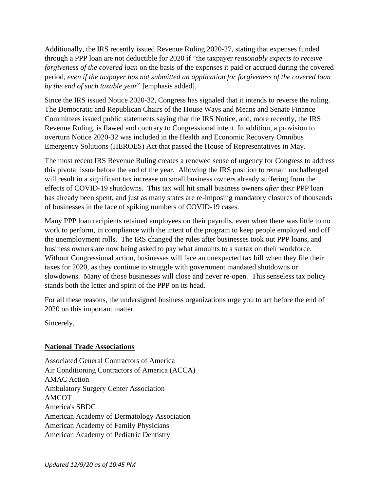Additionally, the IRS recently issued Revenue Ruling 2020-27, stating that expenses funded through a PPP loan are not deductible for 2020 if "the taxpayer *reasonably expects to receive forgiveness of the covered loan* on the basis of the expenses it paid or accrued during the covered period, *even if the taxpayer has not submitted an application for forgiveness of the covered loan by the end of such taxable year*" [emphasis added].

Since the IRS issued Notice 2020-32, Congress has signaled that it intends to reverse the ruling. The Democratic and Republican Chairs of the House Ways and Means and Senate Finance Committees issued public statements saying that the IRS Notice, and, more recently, the IRS Revenue Ruling, is flawed and contrary to Congressional intent. In addition, a provision to overturn Notice 2020-32 was included in the Health and Economic Recovery Omnibus Emergency Solutions (HEROES) Act that passed the House of Representatives in May.

The most recent IRS Revenue Ruling creates a renewed sense of urgency for Congress to address this pivotal issue before the end of the year. Allowing the IRS position to remain unchallenged will result in a significant tax increase on small business owners already suffering from the effects of COVID-19 shutdowns. This tax will hit small business owners *after* their PPP loan has already been spent, and just as many states are re-imposing mandatory closures of thousands of businesses in the face of spiking numbers of COVID-19 cases.

Many PPP loan recipients retained employees on their payrolls, even when there was little to no work to perform, in compliance with the intent of the program to keep people employed and off the unemployment rolls. The IRS changed the rules after businesses took out PPP loans, and business owners are now being asked to pay what amounts to a surtax on their workforce. Without Congressional action, businesses will face an unexpected tax bill when they file their taxes for 2020, as they continue to struggle with government mandated shutdowns or slowdowns. Many of those businesses will close and never re-open. This senseless tax policy stands both the letter and spirit of the PPP on its head.

For all these reasons, the undersigned business organizations urge you to act before the end of 2020 on this important matter.

Sincerely,

# **National Trade Associations**

Associated General Contractors of America Air Conditioning Contractors of America (ACCA) AMAC Action Ambulatory Surgery Center Association AMCOT America's SBDC American Academy of Dermatology Association American Academy of Family Physicians American Academy of Pediatric Dentistry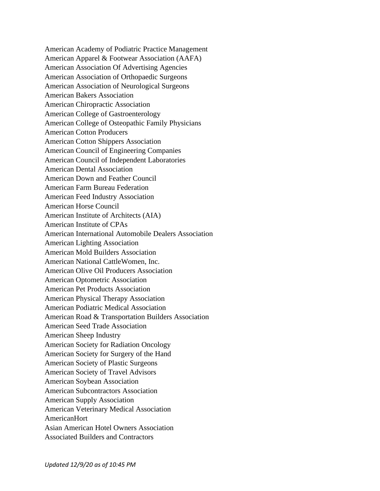American Academy of Podiatric Practice Management American Apparel & Footwear Association (AAFA) American Association Of Advertising Agencies American Association of Orthopaedic Surgeons American Association of Neurological Surgeons American Bakers Association American Chiropractic Association American College of Gastroenterology American College of Osteopathic Family Physicians American Cotton Producers American Cotton Shippers Association American Council of Engineering Companies American Council of Independent Laboratories American Dental Association American Down and Feather Council American Farm Bureau Federation American Feed Industry Association American Horse Council American Institute of Architects (AIA) American Institute of CPAs American International Automobile Dealers Association American Lighting Association American Mold Builders Association American National CattleWomen, Inc. American Olive Oil Producers Association American Optometric Association American Pet Products Association American Physical Therapy Association American Podiatric Medical Association American Road & Transportation Builders Association American Seed Trade Association American Sheep Industry American Society for Radiation Oncology American Society for Surgery of the Hand American Society of Plastic Surgeons American Society of Travel Advisors American Soybean Association American Subcontractors Association American Supply Association American Veterinary Medical Association AmericanHort Asian American Hotel Owners Association Associated Builders and Contractors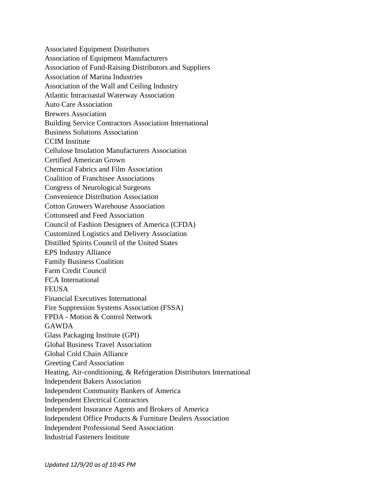Associated Equipment Distributors Association of Equipment Manufacturers Association of Fund-Raising Distributors and Suppliers Association of Marina Industries Association of the Wall and Ceiling Industry Atlantic Intracoastal Waterway Association Auto Care Association Brewers Association Building Service Contractors Association International Business Solutions Association CCIM Institute Cellulose Insulation Manufacturers Association Certified American Grown Chemical Fabrics and Film Association Coalition of Franchisee Associations Congress of Neurological Surgeons Convenience Distribution Association Cotton Growers Warehouse Association Cottonseed and Feed Association Council of Fashion Designers of America (CFDA) Customized Logistics and Delivery Association Distilled Spirits Council of the United States EPS Industry Alliance Family Business Coalition Farm Credit Council FCA International FEUSA Financial Executives International Fire Suppression Systems Association (FSSA) FPDA - Motion & Control Network GAWDA Glass Packaging Institute (GPI) Global Business Travel Association Global Cold Chain Alliance Greeting Card Association Heating, Air-conditioning, & Refrigeration Distributors International Independent Bakers Association Independent Community Bankers of America Independent Electrical Contractors Independent Insurance Agents and Brokers of America Independent Office Products & Furniture Dealers Association Independent Professional Seed Association Industrial Fasteners Institute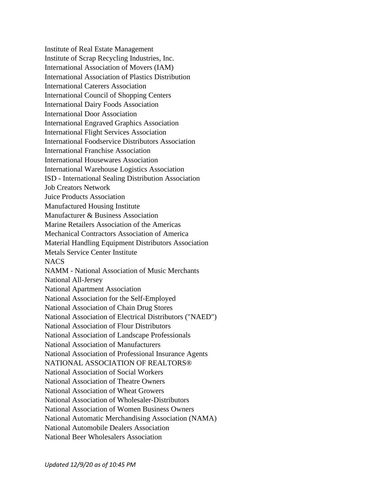Institute of Real Estate Management Institute of Scrap Recycling Industries, Inc. International Association of Movers (IAM) International Association of Plastics Distribution International Caterers Association International Council of Shopping Centers International Dairy Foods Association International Door Association International Engraved Graphics Association International Flight Services Association International Foodservice Distributors Association International Franchise Association International Housewares Association International Warehouse Logistics Association ISD - International Sealing Distribution Association Job Creators Network Juice Products Association Manufactured Housing Institute Manufacturer & Business Association Marine Retailers Association of the Americas Mechanical Contractors Association of America Material Handling Equipment Distributors Association Metals Service Center Institute NACS NAMM - National Association of Music Merchants National All-Jersey National Apartment Association National Association for the Self-Employed National Association of Chain Drug Stores National Association of Electrical Distributors ("NAED") National Association of Flour Distributors National Association of Landscape Professionals National Association of Manufacturers National Association of Professional Insurance Agents NATIONAL ASSOCIATION OF REALTORS® National Association of Social Workers National Association of Theatre Owners National Association of Wheat Growers National Association of Wholesaler-Distributors National Association of Women Business Owners National Automatic Merchandising Association (NAMA) National Automobile Dealers Association National Beer Wholesalers Association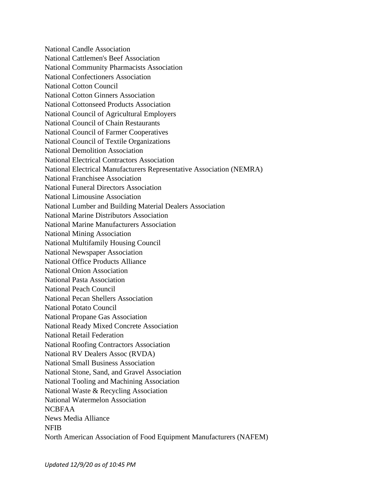National Candle Association National Cattlemen's Beef Association National Community Pharmacists Association National Confectioners Association National Cotton Council National Cotton Ginners Association National Cottonseed Products Association National Council of Agricultural Employers National Council of Chain Restaurants National Council of Farmer Cooperatives National Council of Textile Organizations National Demolition Association National Electrical Contractors Association National Electrical Manufacturers Representative Association (NEMRA) National Franchisee Association National Funeral Directors Association National Limousine Association National Lumber and Building Material Dealers Association National Marine Distributors Association National Marine Manufacturers Association National Mining Association National Multifamily Housing Council National Newspaper Association National Office Products Alliance National Onion Association National Pasta Association National Peach Council National Pecan Shellers Association National Potato Council National Propane Gas Association National Ready Mixed Concrete Association National Retail Federation National Roofing Contractors Association National RV Dealers Assoc (RVDA) National Small Business Association National Stone, Sand, and Gravel Association National Tooling and Machining Association National Waste & Recycling Association National Watermelon Association NCBFAA News Media Alliance NFIB North American Association of Food Equipment Manufacturers (NAFEM)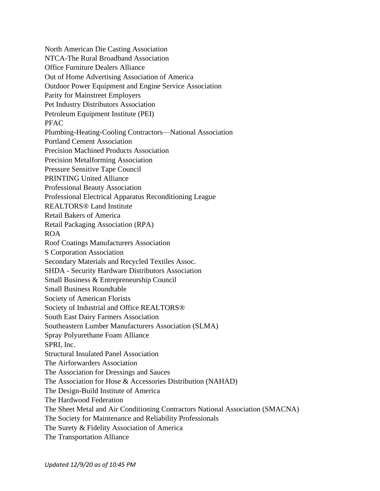North American Die Casting Association NTCA-The Rural Broadband Association Office Furniture Dealers Alliance Out of Home Advertising Association of America Outdoor Power Equipment and Engine Service Association Parity for Mainstreet Employers Pet Industry Distributors Association Petroleum Equipment Institute (PEI) PFAC Plumbing-Heating-Cooling Contractors—National Association Portland Cement Association Precision Machined Products Association Precision Metalforming Association Pressure Sensitive Tape Council PRINTING United Alliance Professional Beauty Association Professional Electrical Apparatus Reconditioning League REALTORS® Land Institute Retail Bakers of America Retail Packaging Association (RPA) ROA Roof Coatings Manufacturers Association S Corporation Association Secondary Materials and Recycled Textiles Assoc. SHDA - Security Hardware Distributors Association Small Business & Entrepreneurship Council Small Business Roundtable Society of American Florists Society of Industrial and Office REALTORS® South East Dairy Farmers Association Southeastern Lumber Manufacturers Association (SLMA) Spray Polyurethane Foam Alliance SPRI, Inc. Structural Insulated Panel Association The Airforwarders Association The Association for Dressings and Sauces The Association for Hose & Accessories Distribution (NAHAD) The Design-Build Institute of America The Hardwood Federation The Sheet Metal and Air Conditioning Contractors National Association (SMACNA) The Society for Maintenance and Reliability Professionals The Surety & Fidelity Association of America The Transportation Alliance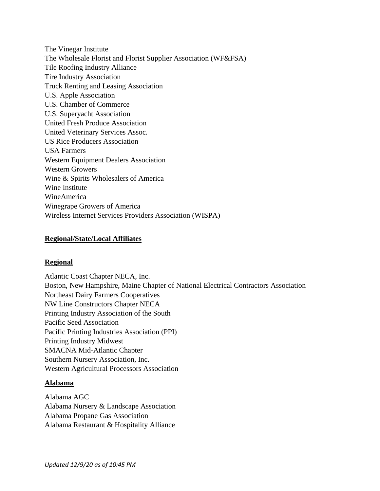The Vinegar Institute The Wholesale Florist and Florist Supplier Association (WF&FSA) Tile Roofing Industry Alliance Tire Industry Association Truck Renting and Leasing Association U.S. Apple Association U.S. Chamber of Commerce U.S. Superyacht Association United Fresh Produce Association United Veterinary Services Assoc. US Rice Producers Association USA Farmers Western Equipment Dealers Association Western Growers Wine & Spirits Wholesalers of America Wine Institute WineAmerica Winegrape Growers of America Wireless Internet Services Providers Association (WISPA)

## **Regional/State/Local Affiliates**

#### **Regional**

Atlantic Coast Chapter NECA, Inc. Boston, New Hampshire, Maine Chapter of National Electrical Contractors Association Northeast Dairy Farmers Cooperatives NW Line Constructors Chapter NECA Printing Industry Association of the South Pacific Seed Association Pacific Printing Industries Association (PPI) Printing Industry Midwest SMACNA Mid-Atlantic Chapter Southern Nursery Association, Inc. Western Agricultural Processors Association

# **Alabama**

Alabama AGC Alabama Nursery & Landscape Association Alabama Propane Gas Association Alabama Restaurant & Hospitality Alliance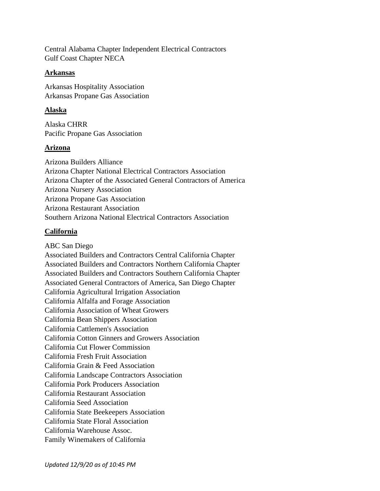Central Alabama Chapter Independent Electrical Contractors Gulf Coast Chapter NECA

## **Arkansas**

Arkansas Hospitality Association Arkansas Propane Gas Association

# **Alaska**

Alaska CHRR Pacific Propane Gas Association

# **Arizona**

Arizona Builders Alliance Arizona Chapter National Electrical Contractors Association Arizona Chapter of the Associated General Contractors of America Arizona Nursery Association Arizona Propane Gas Association Arizona Restaurant Association Southern Arizona National Electrical Contractors Association

# **California**

ABC San Diego Associated Builders and Contractors Central California Chapter Associated Builders and Contractors Northern California Chapter Associated Builders and Contractors Southern California Chapter Associated General Contractors of America, San Diego Chapter California Agricultural Irrigation Association California Alfalfa and Forage Association California Association of Wheat Growers California Bean Shippers Association California Cattlemen's Association California Cotton Ginners and Growers Association California Cut Flower Commission California Fresh Fruit Association California Grain & Feed Association California Landscape Contractors Association California Pork Producers Association California Restaurant Association California Seed Association California State Beekeepers Association California State Floral Association California Warehouse Assoc. Family Winemakers of California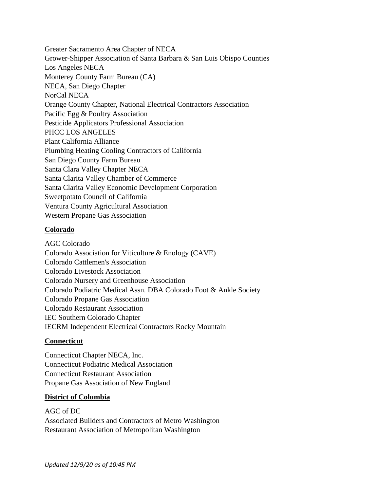Greater Sacramento Area Chapter of NECA Grower-Shipper Association of Santa Barbara & San Luis Obispo Counties Los Angeles NECA Monterey County Farm Bureau (CA) NECA, San Diego Chapter NorCal NECA Orange County Chapter, National Electrical Contractors Association Pacific Egg & Poultry Association Pesticide Applicators Professional Association PHCC LOS ANGELES Plant California Alliance Plumbing Heating Cooling Contractors of California San Diego County Farm Bureau Santa Clara Valley Chapter NECA Santa Clarita Valley Chamber of Commerce Santa Clarita Valley Economic Development Corporation Sweetpotato Council of California Ventura County Agricultural Association Western Propane Gas Association

# **Colorado**

AGC Colorado Colorado Association for Viticulture & Enology (CAVE) Colorado Cattlemen's Association Colorado Livestock Association Colorado Nursery and Greenhouse Association Colorado Podiatric Medical Assn. DBA Colorado Foot & Ankle Society Colorado Propane Gas Association Colorado Restaurant Association IEC Southern Colorado Chapter IECRM Independent Electrical Contractors Rocky Mountain

# **Connecticut**

Connecticut Chapter NECA, Inc. Connecticut Podiatric Medical Association Connecticut Restaurant Association Propane Gas Association of New England

# **District of Columbia**

AGC of DC Associated Builders and Contractors of Metro Washington Restaurant Association of Metropolitan Washington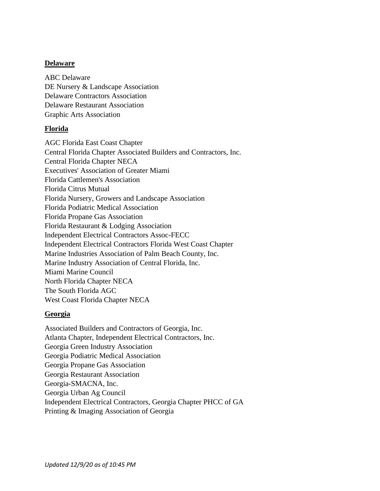## **Delaware**

ABC Delaware DE Nursery & Landscape Association Delaware Contractors Association Delaware Restaurant Association Graphic Arts Association

## **Florida**

AGC Florida East Coast Chapter Central Florida Chapter Associated Builders and Contractors, Inc. Central Florida Chapter NECA Executives' Association of Greater Miami Florida Cattlemen's Association Florida Citrus Mutual Florida Nursery, Growers and Landscape Association Florida Podiatric Medical Association Florida Propane Gas Association Florida Restaurant & Lodging Association Independent Electrical Contractors Assoc-FECC Independent Electrical Contractors Florida West Coast Chapter Marine Industries Association of Palm Beach County, Inc. Marine Industry Association of Central Florida, Inc. Miami Marine Council North Florida Chapter NECA The South Florida AGC West Coast Florida Chapter NECA

# **Georgia**

Associated Builders and Contractors of Georgia, Inc. Atlanta Chapter, Independent Electrical Contractors, Inc. Georgia Green Industry Association Georgia Podiatric Medical Association Georgia Propane Gas Association Georgia Restaurant Association Georgia-SMACNA, Inc. Georgia Urban Ag Council Independent Electrical Contractors, Georgia Chapter PHCC of GA Printing & Imaging Association of Georgia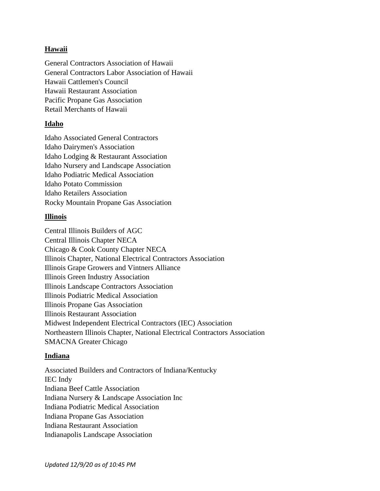# **Hawaii**

General Contractors Association of Hawaii General Contractors Labor Association of Hawaii Hawaii Cattlemen's Council Hawaii Restaurant Association Pacific Propane Gas Association Retail Merchants of Hawaii

## **Idaho**

Idaho Associated General Contractors Idaho Dairymen's Association Idaho Lodging & Restaurant Association Idaho Nursery and Landscape Association Idaho Podiatric Medical Association Idaho Potato Commission Idaho Retailers Association Rocky Mountain Propane Gas Association

# **Illinois**

Central Illinois Builders of AGC Central Illinois Chapter NECA Chicago & Cook County Chapter NECA Illinois Chapter, National Electrical Contractors Association Illinois Grape Growers and Vintners Alliance Illinois Green Industry Association Illinois Landscape Contractors Association Illinois Podiatric Medical Association Illinois Propane Gas Association Illinois Restaurant Association Midwest Independent Electrical Contractors (IEC) Association Northeastern Illinois Chapter, National Electrical Contractors Association SMACNA Greater Chicago

#### **Indiana**

Associated Builders and Contractors of Indiana/Kentucky IEC Indy Indiana Beef Cattle Association Indiana Nursery & Landscape Association Inc Indiana Podiatric Medical Association Indiana Propane Gas Association Indiana Restaurant Association Indianapolis Landscape Association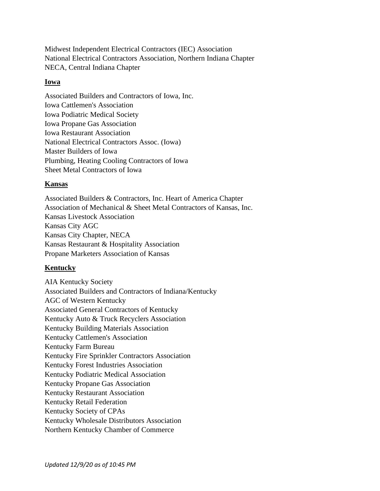Midwest Independent Electrical Contractors (IEC) Association National Electrical Contractors Association, Northern Indiana Chapter NECA, Central Indiana Chapter

## **Iowa**

Associated Builders and Contractors of Iowa, Inc. Iowa Cattlemen's Association Iowa Podiatric Medical Society Iowa Propane Gas Association Iowa Restaurant Association National Electrical Contractors Assoc. (Iowa) Master Builders of Iowa Plumbing, Heating Cooling Contractors of Iowa Sheet Metal Contractors of Iowa

# **Kansas**

Associated Builders & Contractors, Inc. Heart of America Chapter Association of Mechanical & Sheet Metal Contractors of Kansas, Inc. Kansas Livestock Association Kansas City AGC Kansas City Chapter, NECA Kansas Restaurant & Hospitality Association Propane Marketers Association of Kansas

# **Kentucky**

AIA Kentucky Society Associated Builders and Contractors of Indiana/Kentucky AGC of Western Kentucky Associated General Contractors of Kentucky Kentucky Auto & Truck Recyclers Association Kentucky Building Materials Association Kentucky Cattlemen's Association Kentucky Farm Bureau Kentucky Fire Sprinkler Contractors Association Kentucky Forest Industries Association Kentucky Podiatric Medical Association Kentucky Propane Gas Association Kentucky Restaurant Association Kentucky Retail Federation Kentucky Society of CPAs Kentucky Wholesale Distributors Association Northern Kentucky Chamber of Commerce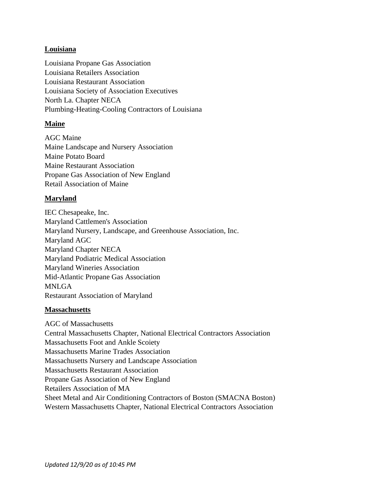## **Louisiana**

Louisiana Propane Gas Association Louisiana Retailers Association Louisiana Restaurant Association Louisiana Society of Association Executives North La. Chapter NECA Plumbing-Heating-Cooling Contractors of Louisiana

## **Maine**

AGC Maine Maine Landscape and Nursery Association Maine Potato Board Maine Restaurant Association Propane Gas Association of New England Retail Association of Maine

## **Maryland**

IEC Chesapeake, Inc. Maryland Cattlemen's Association Maryland Nursery, Landscape, and Greenhouse Association, Inc. Maryland AGC Maryland Chapter NECA Maryland Podiatric Medical Association Maryland Wineries Association Mid-Atlantic Propane Gas Association MNLGA Restaurant Association of Maryland

#### **Massachusetts**

AGC of Massachusetts Central Massachusetts Chapter, National Electrical Contractors Association Massachusetts Foot and Ankle Scoiety Massachusetts Marine Trades Association Massachusetts Nursery and Landscape Association Massachusetts Restaurant Association Propane Gas Association of New England Retailers Association of MA Sheet Metal and Air Conditioning Contractors of Boston (SMACNA Boston) Western Massachusetts Chapter, National Electrical Contractors Association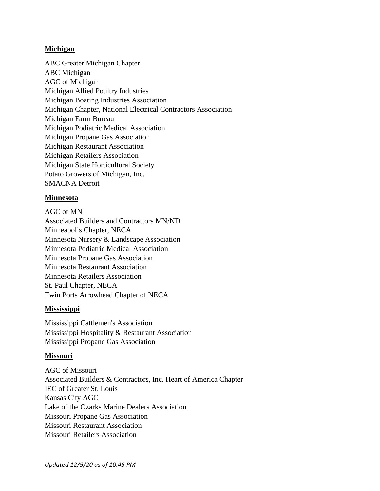## **Michigan**

ABC Greater Michigan Chapter ABC Michigan AGC of Michigan Michigan Allied Poultry Industries Michigan Boating Industries Association Michigan Chapter, National Electrical Contractors Association Michigan Farm Bureau Michigan Podiatric Medical Association Michigan Propane Gas Association Michigan Restaurant Association Michigan Retailers Association Michigan State Horticultural Society Potato Growers of Michigan, Inc. SMACNA Detroit

# **Minnesota**

AGC of MN Associated Builders and Contractors MN/ND Minneapolis Chapter, NECA Minnesota Nursery & Landscape Association Minnesota Podiatric Medical Association Minnesota Propane Gas Association Minnesota Restaurant Association Minnesota Retailers Association St. Paul Chapter, NECA Twin Ports Arrowhead Chapter of NECA

#### **Mississippi**

Mississippi Cattlemen's Association Mississippi Hospitality & Restaurant Association Mississippi Propane Gas Association

#### **Missouri**

AGC of Missouri Associated Builders & Contractors, Inc. Heart of America Chapter IEC of Greater St. Louis Kansas City AGC Lake of the Ozarks Marine Dealers Association Missouri Propane Gas Association Missouri Restaurant Association Missouri Retailers Association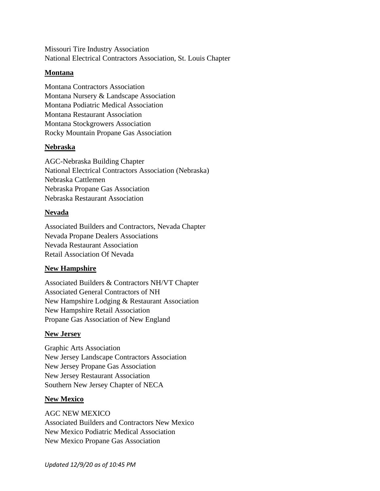Missouri Tire Industry Association National Electrical Contractors Association, St. Louis Chapter

#### **Montana**

Montana Contractors Association Montana Nursery & Landscape Association Montana Podiatric Medical Association Montana Restaurant Association Montana Stockgrowers Association Rocky Mountain Propane Gas Association

## **Nebraska**

AGC-Nebraska Building Chapter National Electrical Contractors Association (Nebraska) Nebraska Cattlemen Nebraska Propane Gas Association Nebraska Restaurant Association

## **Nevada**

Associated Builders and Contractors, Nevada Chapter Nevada Propane Dealers Associations Nevada Restaurant Association Retail Association Of Nevada

# **New Hampshire**

Associated Builders & Contractors NH/VT Chapter Associated General Contractors of NH New Hampshire Lodging & Restaurant Association New Hampshire Retail Association Propane Gas Association of New England

# **New Jersey**

Graphic Arts Association New Jersey Landscape Contractors Association New Jersey Propane Gas Association New Jersey Restaurant Association Southern New Jersey Chapter of NECA

#### **New Mexico**

AGC NEW MEXICO

Associated Builders and Contractors New Mexico New Mexico Podiatric Medical Association New Mexico Propane Gas Association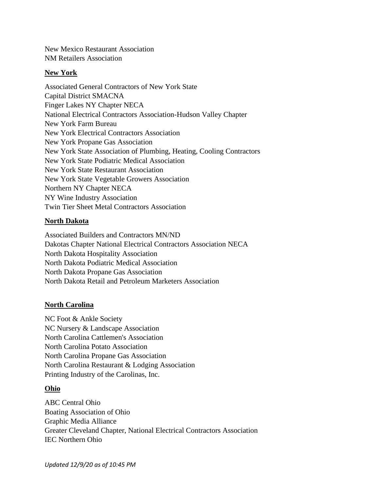New Mexico Restaurant Association NM Retailers Association

#### **New York**

Associated General Contractors of New York State Capital District SMACNA Finger Lakes NY Chapter NECA National Electrical Contractors Association-Hudson Valley Chapter New York Farm Bureau New York Electrical Contractors Association New York Propane Gas Association New York State Association of Plumbing, Heating, Cooling Contractors New York State Podiatric Medical Association New York State Restaurant Association New York State Vegetable Growers Association Northern NY Chapter NECA NY Wine Industry Association Twin Tier Sheet Metal Contractors Association

#### **North Dakota**

Associated Builders and Contractors MN/ND Dakotas Chapter National Electrical Contractors Association NECA North Dakota Hospitality Association North Dakota Podiatric Medical Association North Dakota Propane Gas Association North Dakota Retail and Petroleum Marketers Association

#### **North Carolina**

NC Foot & Ankle Society NC Nursery & Landscape Association North Carolina Cattlemen's Association North Carolina Potato Association North Carolina Propane Gas Association North Carolina Restaurant & Lodging Association Printing Industry of the Carolinas, Inc.

## **Ohio**

ABC Central Ohio Boating Association of Ohio Graphic Media Alliance Greater Cleveland Chapter, National Electrical Contractors Association IEC Northern Ohio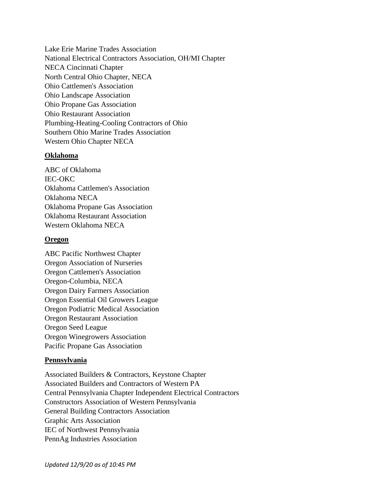Lake Erie Marine Trades Association National Electrical Contractors Association, OH/MI Chapter NECA Cincinnati Chapter North Central Ohio Chapter, NECA Ohio Cattlemen's Association Ohio Landscape Association Ohio Propane Gas Association Ohio Restaurant Association Plumbing-Heating-Cooling Contractors of Ohio Southern Ohio Marine Trades Association Western Ohio Chapter NECA

## **Oklahoma**

ABC of Oklahoma IEC-OKC Oklahoma Cattlemen's Association Oklahoma NECA Oklahoma Propane Gas Association Oklahoma Restaurant Association Western Oklahoma NECA

## **Oregon**

ABC Pacific Northwest Chapter Oregon Association of Nurseries Oregon Cattlemen's Association Oregon-Columbia, NECA Oregon Dairy Farmers Association Oregon Essential Oil Growers League Oregon Podiatric Medical Association Oregon Restaurant Association Oregon Seed League Oregon Winegrowers Association Pacific Propane Gas Association

# **Pennsylvania**

Associated Builders & Contractors, Keystone Chapter Associated Builders and Contractors of Western PA Central Pennsylvania Chapter Independent Electrical Contractors Constructors Association of Western Pennsylvania General Building Contractors Association Graphic Arts Association IEC of Northwest Pennsylvania PennAg Industries Association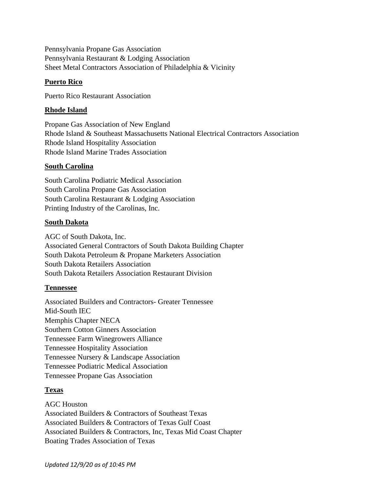Pennsylvania Propane Gas Association Pennsylvania Restaurant & Lodging Association Sheet Metal Contractors Association of Philadelphia & Vicinity

# **Puerto Rico**

Puerto Rico Restaurant Association

## **Rhode Island**

Propane Gas Association of New England Rhode Island & Southeast Massachusetts National Electrical Contractors Association Rhode Island Hospitality Association Rhode Island Marine Trades Association

## **South Carolina**

South Carolina Podiatric Medical Association South Carolina Propane Gas Association South Carolina Restaurant & Lodging Association Printing Industry of the Carolinas, Inc.

## **South Dakota**

AGC of South Dakota, Inc. Associated General Contractors of South Dakota Building Chapter South Dakota Petroleum & Propane Marketers Association South Dakota Retailers Association South Dakota Retailers Association Restaurant Division

#### **Tennessee**

Associated Builders and Contractors- Greater Tennessee Mid-South IEC Memphis Chapter NECA Southern Cotton Ginners Association Tennessee Farm Winegrowers Alliance Tennessee Hospitality Association Tennessee Nursery & Landscape Association Tennessee Podiatric Medical Association Tennessee Propane Gas Association

# **Texas**

AGC Houston Associated Builders & Contractors of Southeast Texas Associated Builders & Contractors of Texas Gulf Coast Associated Builders & Contractors, Inc, Texas Mid Coast Chapter Boating Trades Association of Texas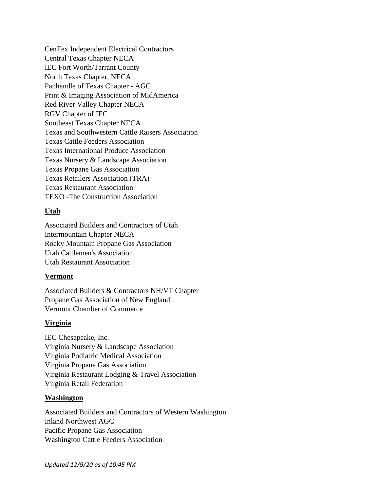CenTex Independent Electrical Contractors Central Texas Chapter NECA IEC Fort Worth/Tarrant County North Texas Chapter, NECA Panhandle of Texas Chapter - AGC Print & Imaging Association of MidAmerica Red River Valley Chapter NECA RGV Chapter of IEC Southeast Texas Chapter NECA Texas and Southwestern Cattle Raisers Association Texas Cattle Feeders Association Texas International Produce Association Texas Nursery & Landscape Association Texas Propane Gas Association Texas Retailers Association (TRA) Texas Restaurant Association TEXO -The Construction Association

# **Utah**

Associated Builders and Contractors of Utah Intermountain Chapter NECA Rocky Mountain Propane Gas Association Utah Cattlemen's Association Utah Restaurant Association

# **Vermont**

Associated Builders & Contractors NH/VT Chapter Propane Gas Association of New England Vermont Chamber of Commerce

# **Virginia**

IEC Chesapeake, Inc. Virginia Nursery & Landscape Association Virginia Podiatric Medical Association Virginia Propane Gas Association Virginia Restaurant Lodging & Travel Association Virginia Retail Federation

#### **Washington**

Associated Builders and Contractors of Western Washington Inland Northwest AGC Pacific Propane Gas Association Washington Cattle Feeders Association